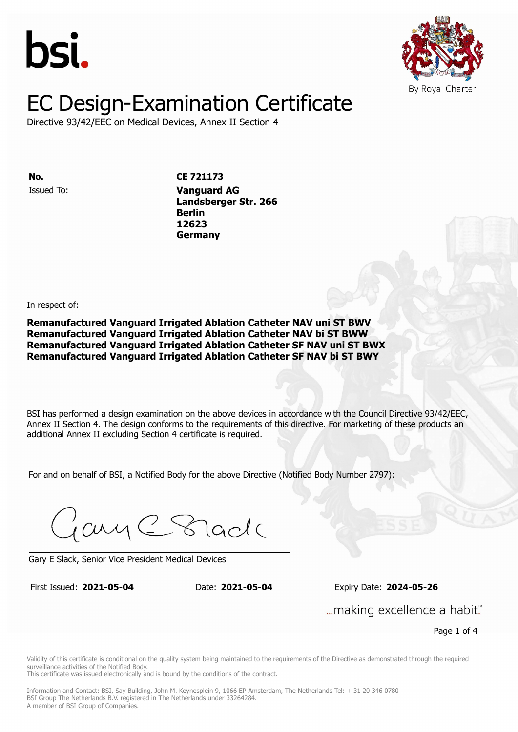



Directive 93/42/EEC on Medical Devices, Annex II Section 4

Issued To: **Vanguard AG No. CE 721173**

**Landsberger Str. 266 Berlin** Issued To: **Vanguard AG 12623 Landsberger Str. 266 Berlin 12623 Germany**

In respect of:

**Remanufactured Vanguard Irrigated Ablation Catheter NAV uni ST BWV Remanufactured Vanguard Irrigated Ablation Catheter NAV bi ST BWW Remanufactured Vanguard Irrigated Ablation Catheter SF NAV uni ST BWX Remanufactured Vanguard Irrigated Ablation Catheter SF NAV bi ST BWY**

BSI has performed a design examination on the above devices in accordance with the Council Directive 93/42/EEC, Annex II Section 4. The design conforms to the requirements of this directive. For marketing of these products an additional Annex II excluding Section 4 certificate is required.

For and on behalf of BSI, a Notified Body for the above Directive (Notified Body Number 2797):

Gary C Stade

Gary E Slack, Senior Vice President Medical Devices

First Issued: **2021-05-04** Date: **2021-05-04** Expiry Date: **2024-05-26** First Issued: **2021-05-04** Date: **2021-05-04** Expiry Date: **2024-05-26**

... making excellence a habit."

Page 1 of 4

Validity of this certificate is conditional on the quality system being maintained to the requirements of the Directive as demonstrated through the required surveillance activities of the Notified Body.

This certificate was issued electronically and is bound by the conditions of the contract.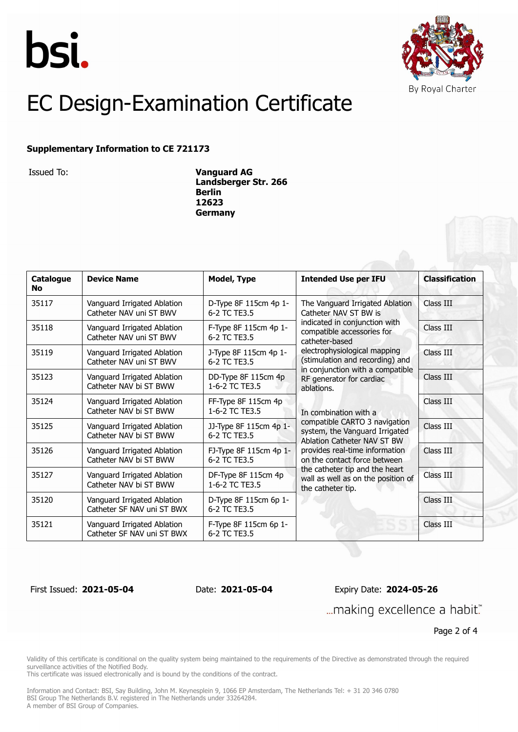



#### **Supplementary Information to CE 721173**

Issued To: **Vanguard AG Landsberger Str. 266 Berlin 12623 Germany**

| Catalogue<br>No. | <b>Device Name</b>                                        | <b>Model, Type</b>                     | <b>Intended Use per IFU</b>                                                                                                                                                                                                                                                                                                                                                                                                                                                                                                                                                          | <b>Classification</b> |
|------------------|-----------------------------------------------------------|----------------------------------------|--------------------------------------------------------------------------------------------------------------------------------------------------------------------------------------------------------------------------------------------------------------------------------------------------------------------------------------------------------------------------------------------------------------------------------------------------------------------------------------------------------------------------------------------------------------------------------------|-----------------------|
| 35117            | Vanguard Irrigated Ablation<br>Catheter NAV uni ST BWV    | D-Type 8F 115cm 4p 1-<br>6-2 TC TF3.5  | The Vanguard Irrigated Ablation<br>Catheter NAV ST BW is<br>indicated in conjunction with<br>compatible accessories for<br>catheter-based<br>electrophysiological mapping<br>(stimulation and recording) and<br>in conjunction with a compatible<br>RF generator for cardiac<br>ablations.<br>In combination with a<br>compatible CARTO 3 navigation<br>system, the Vanguard Irrigated<br>Ablation Catheter NAV ST BW<br>provides real-time information<br>on the contact force between<br>the catheter tip and the heart<br>wall as well as on the position of<br>the catheter tip. | Class III             |
| 35118            | Vanguard Irrigated Ablation<br>Catheter NAV uni ST BWV    | F-Type 8F 115cm 4p 1-<br>6-2 TC TF3.5  |                                                                                                                                                                                                                                                                                                                                                                                                                                                                                                                                                                                      | Class III             |
| 35119            | Vanguard Irrigated Ablation<br>Catheter NAV uni ST BWV    | J-Type 8F 115cm 4p 1-<br>6-2 TC TE3.5  |                                                                                                                                                                                                                                                                                                                                                                                                                                                                                                                                                                                      | Class III             |
| 35123            | Vanguard Irrigated Ablation<br>Catheter NAV bi ST BWW     | DD-Type 8F 115cm 4p<br>1-6-2 TC TE3.5  |                                                                                                                                                                                                                                                                                                                                                                                                                                                                                                                                                                                      | Class III             |
| 35124            | Vanguard Irrigated Ablation<br>Catheter NAV bi ST BWW     | FF-Type 8F 115cm 4p<br>1-6-2 TC TE3.5  |                                                                                                                                                                                                                                                                                                                                                                                                                                                                                                                                                                                      | Class III             |
| 35125            | Vanguard Irrigated Ablation<br>Catheter NAV bi ST BWW     | JJ-Type 8F 115cm 4p 1-<br>6-2 TC TE3.5 |                                                                                                                                                                                                                                                                                                                                                                                                                                                                                                                                                                                      | Class III             |
| 35126            | Vanguard Irrigated Ablation<br>Catheter NAV bi ST BWW     | FJ-Type 8F 115cm 4p 1-<br>6-2 TC TE3.5 |                                                                                                                                                                                                                                                                                                                                                                                                                                                                                                                                                                                      | Class III             |
| 35127            | Vanguard Irrigated Ablation<br>Catheter NAV bi ST BWW     | DF-Type 8F 115cm 4p<br>1-6-2 TC TE3.5  |                                                                                                                                                                                                                                                                                                                                                                                                                                                                                                                                                                                      | Class III             |
| 35120            | Vanguard Irrigated Ablation<br>Catheter SF NAV uni ST BWX | D-Type 8F 115cm 6p 1-<br>6-2 TC TE3.5  |                                                                                                                                                                                                                                                                                                                                                                                                                                                                                                                                                                                      | Class III             |
| 35121            | Vanguard Irrigated Ablation<br>Catheter SF NAV uni ST BWX | F-Type 8F 115cm 6p 1-<br>6-2 TC TF3.5  |                                                                                                                                                                                                                                                                                                                                                                                                                                                                                                                                                                                      | Class III             |

First Issued: **2021-05-04** Date: **2021-05-04** Expiry Date: **2024-05-26** ... making excellence a habit."

Page 2 of 4

Validity of this certificate is conditional on the quality system being maintained to the requirements of the Directive as demonstrated through the required surveillance activities of the Notified Body.

This certificate was issued electronically and is bound by the conditions of the contract.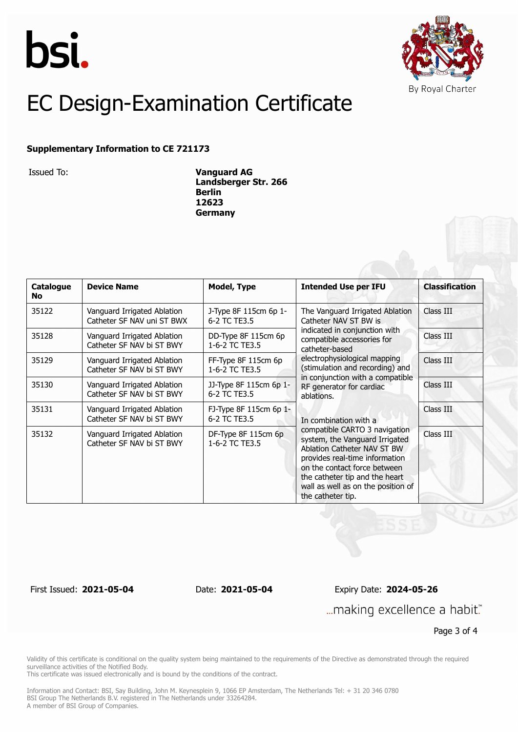



#### **Supplementary Information to CE 721173**

Issued To: **Vanguard AG Landsberger Str. 266 Berlin 12623 Germany**

| Catalogue<br><b>No</b> | <b>Device Name</b>                                        | Model, Type                            | <b>Intended Use per IFU</b>                                                                                                                                                                                                                                   | <b>Classification</b> |
|------------------------|-----------------------------------------------------------|----------------------------------------|---------------------------------------------------------------------------------------------------------------------------------------------------------------------------------------------------------------------------------------------------------------|-----------------------|
| 35122                  | Vanguard Irrigated Ablation<br>Catheter SF NAV uni ST BWX | J-Type 8F 115cm 6p 1-<br>6-2 TC TE3.5  | The Vanguard Irrigated Ablation<br>Catheter NAV ST BW is                                                                                                                                                                                                      | Class III             |
| 35128                  | Vanguard Irrigated Ablation<br>Catheter SF NAV bi ST BWY  | DD-Type 8F 115cm 6p<br>1-6-2 TC TE3.5  | indicated in conjunction with<br>compatible accessories for<br>catheter-based<br>electrophysiological mapping<br>(stimulation and recording) and                                                                                                              | Class III             |
| 35129                  | Vanguard Irrigated Ablation<br>Catheter SF NAV bi ST BWY  | FF-Type 8F 115cm 6p<br>1-6-2 TC TE3.5  |                                                                                                                                                                                                                                                               | Class III             |
| 35130                  | Vanguard Irrigated Ablation<br>Catheter SF NAV bi ST BWY  | JJ-Type 8F 115cm 6p 1-<br>6-2 TC TE3.5 | in conjunction with a compatible<br>RF generator for cardiac<br>ablations.                                                                                                                                                                                    | Class III             |
| 35131                  | Vanguard Irrigated Ablation<br>Catheter SF NAV bi ST BWY  | FJ-Type 8F 115cm 6p 1-<br>6-2 TC TE3.5 | In combination with a                                                                                                                                                                                                                                         | Class III             |
| 35132                  | Vanguard Irrigated Ablation<br>Catheter SF NAV bi ST BWY  | DF-Type 8F 115cm 6p<br>1-6-2 TC TE3.5  | compatible CARTO 3 navigation<br>system, the Vanguard Irrigated<br>Ablation Catheter NAV ST BW<br>provides real-time information<br>on the contact force between<br>the catheter tip and the heart<br>wall as well as on the position of<br>the catheter tip. | Class III             |

First Issued: **2021-05-04** Date: **2021-05-04** Expiry Date: **2024-05-26** ... making excellence a habit."

Page 3 of 4

Validity of this certificate is conditional on the quality system being maintained to the requirements of the Directive as demonstrated through the required surveillance activities of the Notified Body.

This certificate was issued electronically and is bound by the conditions of the contract.